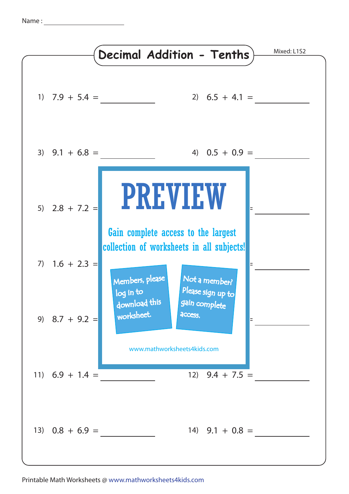